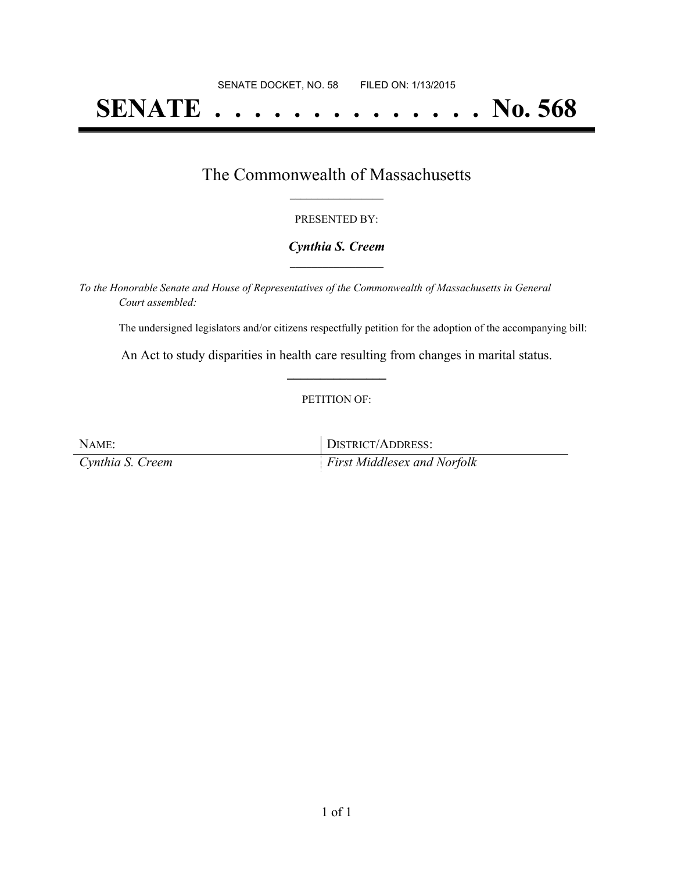# **SENATE . . . . . . . . . . . . . . No. 568**

## The Commonwealth of Massachusetts **\_\_\_\_\_\_\_\_\_\_\_\_\_\_\_\_\_**

#### PRESENTED BY:

#### *Cynthia S. Creem* **\_\_\_\_\_\_\_\_\_\_\_\_\_\_\_\_\_**

*To the Honorable Senate and House of Representatives of the Commonwealth of Massachusetts in General Court assembled:*

The undersigned legislators and/or citizens respectfully petition for the adoption of the accompanying bill:

An Act to study disparities in health care resulting from changes in marital status. **\_\_\_\_\_\_\_\_\_\_\_\_\_\_\_**

#### PETITION OF:

| NAME:            | DISTRICT/ADDRESS:                  |
|------------------|------------------------------------|
| Cynthia S. Creem | <i>First Middlesex and Norfolk</i> |